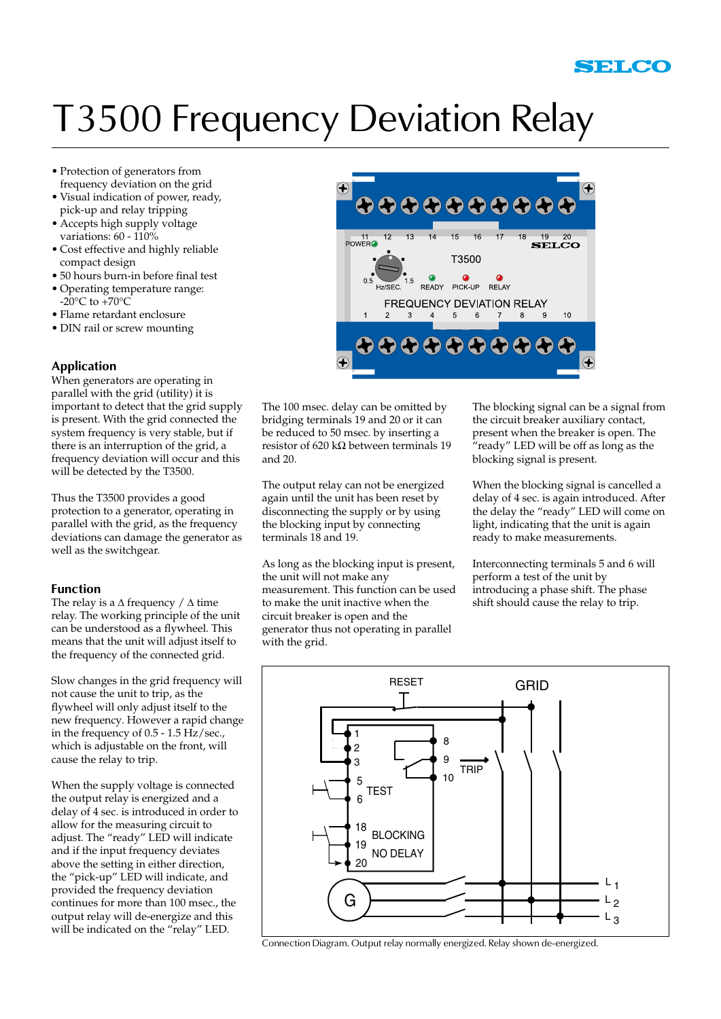# T3500 Frequency Deviation Relay

- • Protection of generators from frequency deviation on the grid
- • Visual indication of power, ready, pick-up and relay tripping
- • Accepts high supply voltage variations: 60 - 110%
- • Cost effective and highly reliable compact design
- • 50 hours burn-in before final test
- • Operating temperature range:  $-20^{\circ}$ C to  $+70^{\circ}$ C
- • Flame retardant enclosure
- DIN rail or screw mounting

# **Application**

When generators are operating in parallel with the grid (utility) it is important to detect that the grid supply is present. With the grid connected the system frequency is very stable, but if there is an interruption of the grid, a frequency deviation will occur and this will be detected by the T3500.

Thus the T3500 provides a good protection to a generator, operating in parallel with the grid, as the frequency deviations can damage the generator as well as the switchgear.

### **Function**

The relay is a  $\Delta$  frequency /  $\Delta$  time relay. The working principle of the unit can be understood as a flywheel. This means that the unit will adjust itself to the frequency of the connected grid.

Slow changes in the grid frequency will not cause the unit to trip, as the flywheel will only adjust itself to the new frequency. However a rapid change in the frequency of 0.5 - 1.5 Hz/sec., which is adjustable on the front, will cause the relay to trip.

When the supply voltage is connected the output relay is energized and a delay of 4 sec. is introduced in order to allow for the measuring circuit to adjust. The "ready" LED will indicate and if the input frequency deviates above the setting in either direction, the "pick-up" LED will indicate, and provided the frequency deviation continues for more than 100 msec., the output relay will de-energize and this will be indicated on the "relay" LED.



The 100 msec. delay can be omitted by bridging terminals 19 and 20 or it can be reduced to 50 msec. by inserting a resistor of 620 kΩ between terminals 19 and 20.

The output relay can not be energized again until the unit has been reset by disconnecting the supply or by using the blocking input by connecting terminals 18 and 19.

As long as the blocking input is present, the unit will not make any measurement. This function can be used to make the unit inactive when the circuit breaker is open and the generator thus not operating in parallel with the grid.

The blocking signal can be a signal from the circuit breaker auxiliary contact, present when the breaker is open. The  $\tilde{r}$  ready" LED will be off as long as the blocking signal is present.

When the blocking signal is cancelled a delay of 4 sec. is again introduced. After the delay the "ready" LED will come on light, indicating that the unit is again ready to make measurements.

Interconnecting terminals 5 and 6 will perform a test of the unit by introducing a phase shift. The phase shift should cause the relay to trip.



Connection Diagram. Output relay normally energized. Relay shown de-energized.